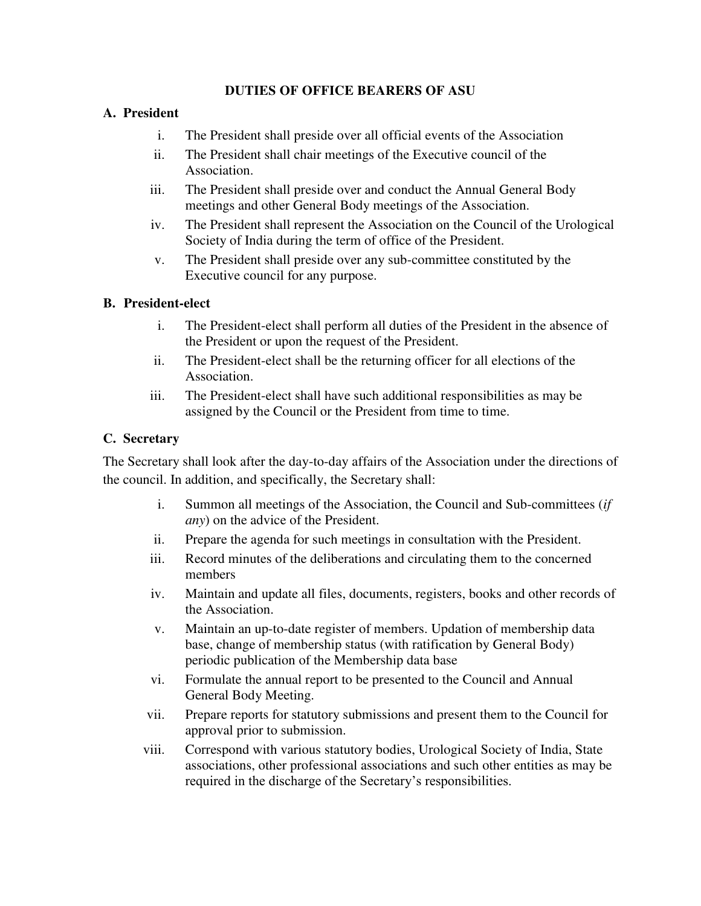# **DUTIES OF OFFICE BEARERS OF ASU**

# **A. President**

- i. The President shall preside over all official events of the Association
- ii. The President shall chair meetings of the Executive council of the Association.
- iii. The President shall preside over and conduct the Annual General Body meetings and other General Body meetings of the Association.
- iv. The President shall represent the Association on the Council of the Urological Society of India during the term of office of the President.
- v. The President shall preside over any sub-committee constituted by the Executive council for any purpose.

### **B. President-elect**

- i. The President-elect shall perform all duties of the President in the absence of the President or upon the request of the President.
- ii. The President-elect shall be the returning officer for all elections of the Association.
- iii. The President-elect shall have such additional responsibilities as may be assigned by the Council or the President from time to time.

### **C. Secretary**

The Secretary shall look after the day-to-day affairs of the Association under the directions of the council. In addition, and specifically, the Secretary shall:

- i. Summon all meetings of the Association, the Council and Sub-committees (*if any*) on the advice of the President.
- ii. Prepare the agenda for such meetings in consultation with the President.
- iii. Record minutes of the deliberations and circulating them to the concerned members
- iv. Maintain and update all files, documents, registers, books and other records of the Association.
- v. Maintain an up-to-date register of members. Updation of membership data base, change of membership status (with ratification by General Body) periodic publication of the Membership data base
- vi. Formulate the annual report to be presented to the Council and Annual General Body Meeting.
- vii. Prepare reports for statutory submissions and present them to the Council for approval prior to submission.
- viii. Correspond with various statutory bodies, Urological Society of India, State associations, other professional associations and such other entities as may be required in the discharge of the Secretary's responsibilities.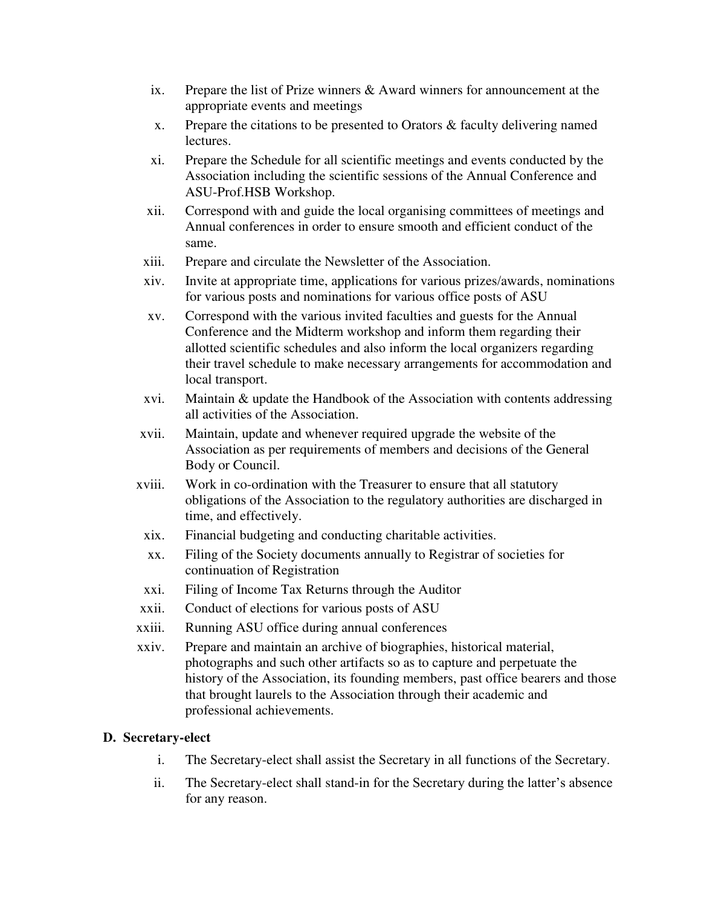- ix. Prepare the list of Prize winners & Award winners for announcement at the appropriate events and meetings
- x. Prepare the citations to be presented to Orators & faculty delivering named lectures.
- xi. Prepare the Schedule for all scientific meetings and events conducted by the Association including the scientific sessions of the Annual Conference and ASU-Prof.HSB Workshop.
- xii. Correspond with and guide the local organising committees of meetings and Annual conferences in order to ensure smooth and efficient conduct of the same.
- xiii. Prepare and circulate the Newsletter of the Association.
- xiv. Invite at appropriate time, applications for various prizes/awards, nominations for various posts and nominations for various office posts of ASU
- xv. Correspond with the various invited faculties and guests for the Annual Conference and the Midterm workshop and inform them regarding their allotted scientific schedules and also inform the local organizers regarding their travel schedule to make necessary arrangements for accommodation and local transport.
- xvi. Maintain & update the Handbook of the Association with contents addressing all activities of the Association.
- xvii. Maintain, update and whenever required upgrade the website of the Association as per requirements of members and decisions of the General Body or Council.
- xviii. Work in co-ordination with the Treasurer to ensure that all statutory obligations of the Association to the regulatory authorities are discharged in time, and effectively.
- xix. Financial budgeting and conducting charitable activities.
- xx. Filing of the Society documents annually to Registrar of societies for continuation of Registration
- xxi. Filing of Income Tax Returns through the Auditor
- xxii. Conduct of elections for various posts of ASU
- xxiii. Running ASU office during annual conferences
- xxiv. Prepare and maintain an archive of biographies, historical material, photographs and such other artifacts so as to capture and perpetuate the history of the Association, its founding members, past office bearers and those that brought laurels to the Association through their academic and professional achievements.

#### **D. Secretary-elect**

- i. The Secretary-elect shall assist the Secretary in all functions of the Secretary.
- ii. The Secretary-elect shall stand-in for the Secretary during the latter's absence for any reason.